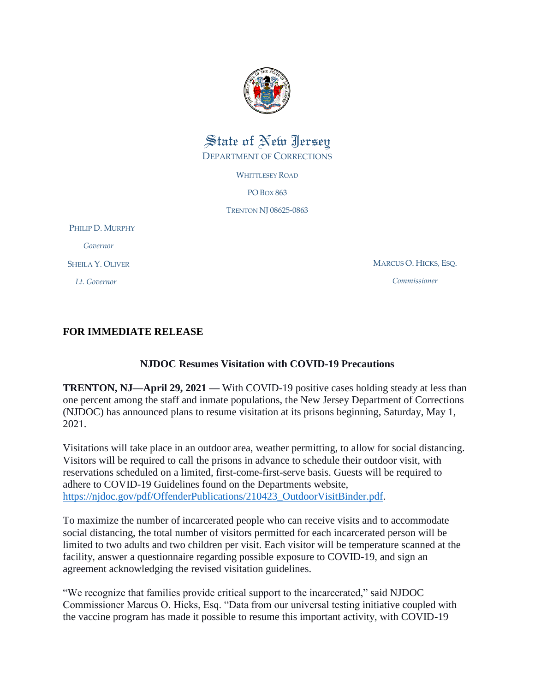

## State of New Jersey DEPARTMENT OF CORRECTIONS

WHITTLESEY ROAD

PO BOX 863

TRENTON NJ 08625-0863

PHILIP D. MURPHY  *Governor*

SHEILA Y. OLIVER

 *Lt. Governor*

MARCUS O. HICKS, ESQ. *Commissioner*

## **FOR IMMEDIATE RELEASE**

## **NJDOC Resumes Visitation with COVID-19 Precautions**

**TRENTON, NJ—April 29, 2021 — With COVID-19 positive cases holding steady at less than** one percent among the staff and inmate populations, the New Jersey Department of Corrections (NJDOC) has announced plans to resume visitation at its prisons beginning, Saturday, May 1, 2021.

Visitations will take place in an outdoor area, weather permitting, to allow for social distancing. Visitors will be required to call the prisons in advance to schedule their outdoor visit, with reservations scheduled on a limited, first-come-first-serve basis. Guests will be required to adhere to COVID-19 Guidelines found on the Departments website, [https://njdoc.gov/pdf/OffenderPublications/210423\\_OutdoorVisitBinder.pdf.](https://njdoc.gov/pdf/OffenderPublications/210423_OutdoorVisitBinder.pdf)

To maximize the number of incarcerated people who can receive visits and to accommodate social distancing, the total number of visitors permitted for each incarcerated person will be limited to two adults and two children per visit. Each visitor will be temperature scanned at the facility, answer a questionnaire regarding possible exposure to COVID-19, and sign an agreement acknowledging the revised visitation guidelines.

"We recognize that families provide critical support to the incarcerated," said NJDOC Commissioner Marcus O. Hicks, Esq. "Data from our universal testing initiative coupled with the vaccine program has made it possible to resume this important activity, with COVID-19